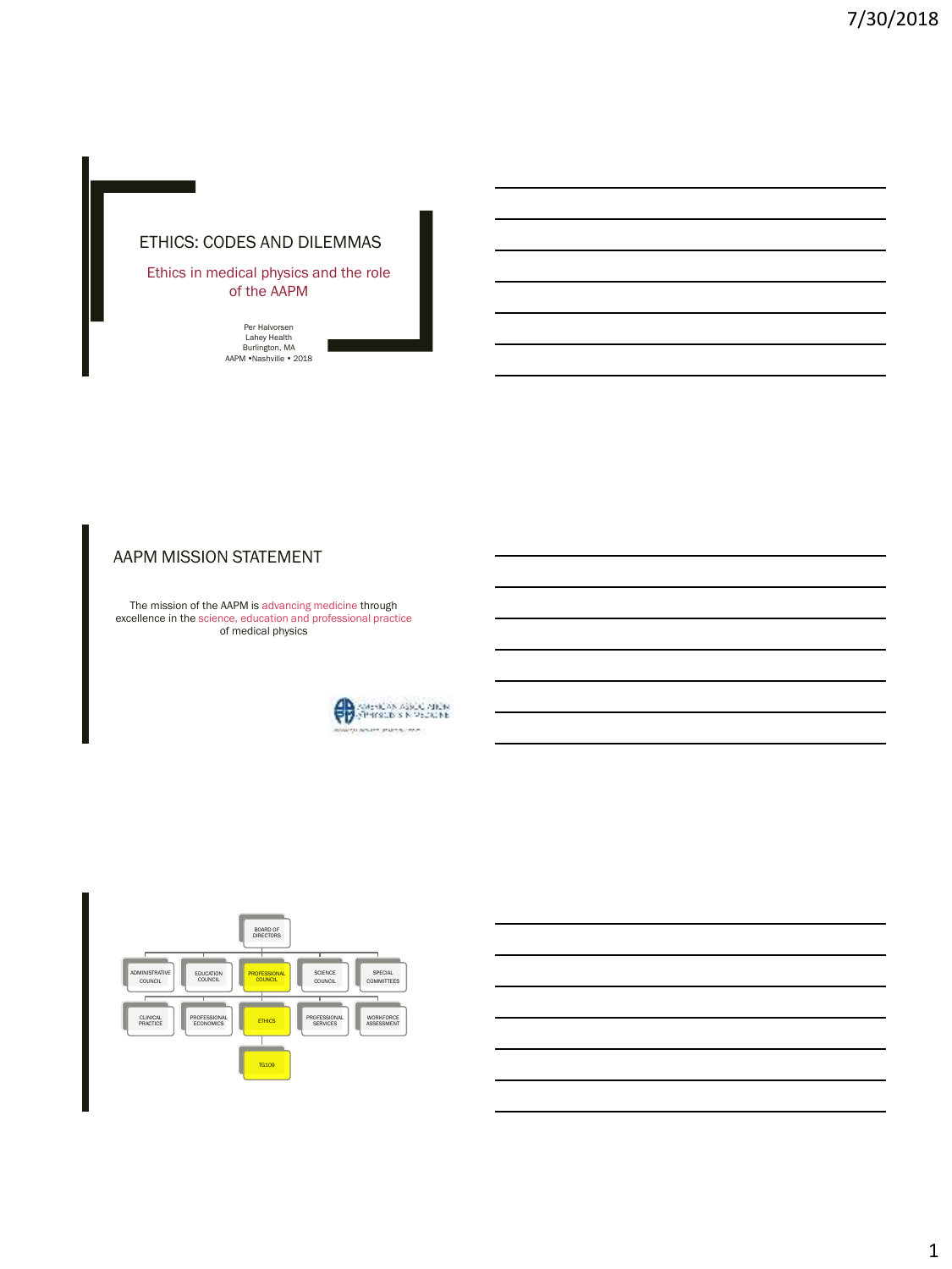# ETHICS: CODES AND DILEMMAS

Ethics in medical physics and the role of the AAPM

Per Halvorsen<br>Lahey Health<br>Burlington, MA<br>AAPM •Nashville • 2018

### AAPM MISSION STATEMENT

The mission of the AAPM is advancing medicine through excellence in the science, education and professional practice of medical physics



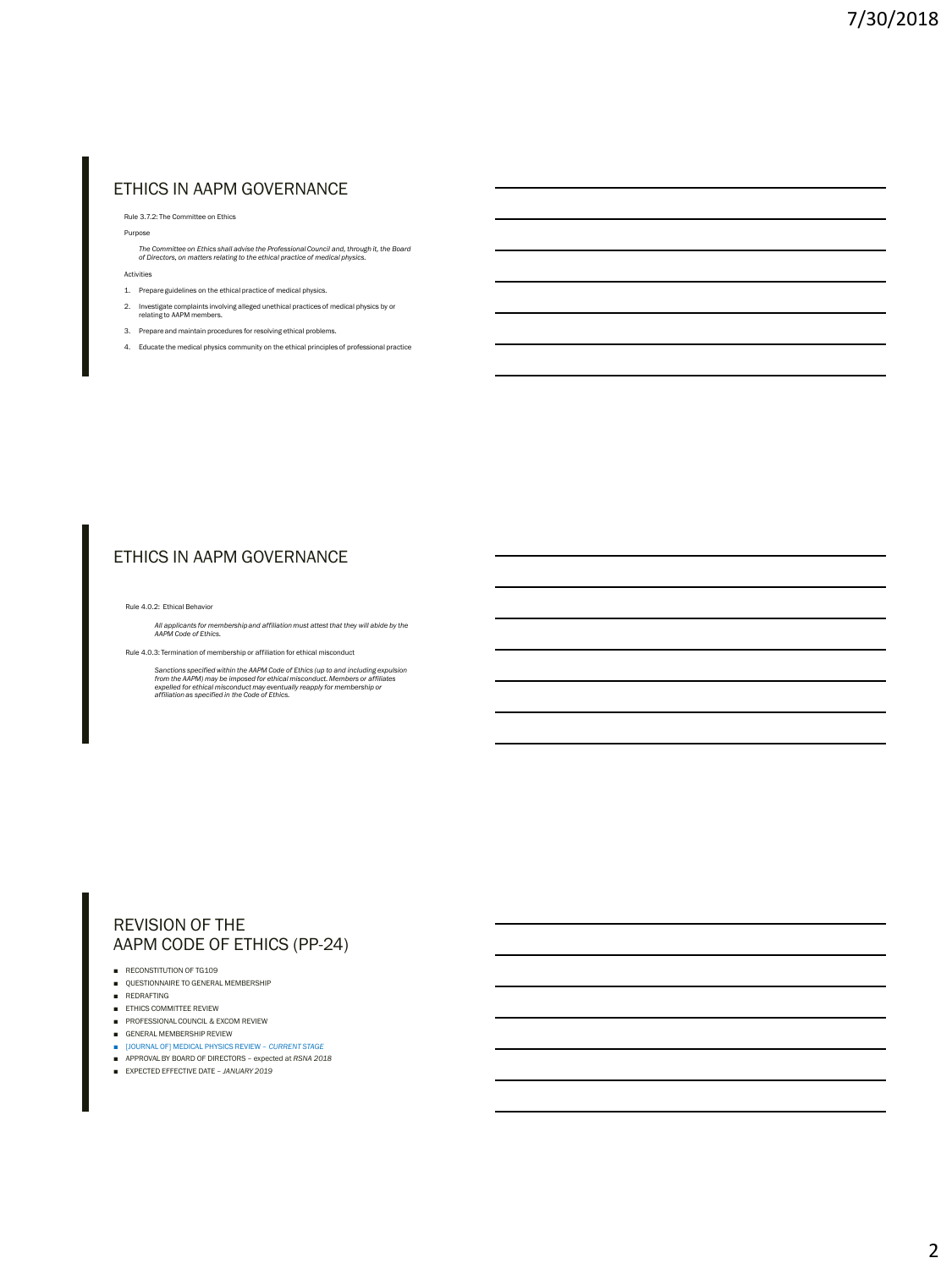## ETHICS IN AAPM GOVERNANCE

Rule 3.7.2: The Committee on Ethics

Purpose

*The Committee on Ethics shall advise the Professional Council and, through it, the Board of Directors, on matters relating to the ethical practice of medical physics.*

Activities

- 1. Prepare guidelines on the ethical practice of medical physics.
- 2. Investigate complaints involving alleged unethical practices of medical physics by or relating to AAPM members.
- 3. Prepare and maintain procedures for resolving ethical problems.
- 4. Educate the medical physics community on the ethical principles of professional practice

### ETHICS IN AAPM GOVERNANCE

Rule 4.0.2: Ethical Behavior

*All applicants for membership and affiliation must attest that they will abide by the AAPM Code of Ethics.*

Rule 4.0.3: Termination of membership or affiliation for ethical misconduct

Sanctions specified within the AAPM Code of Ethics (up to and including expulsion<br>from the AAPM) may be imposed for ethical misconduct. Members or affiliates<br>expelled for ethical misconduct may eventually reapply for membe

### REVISION OF THE AAPM CODE OF ETHICS (PP-24)

- RECONSTITUTION OF TG109
- QUESTIONNAIRE TO GENERAL MEMBERSHIP
- REDRAFTING
- ETHICS COMMITTEE REVIEW
- PROFESSIONAL COUNCIL & EXCOM REVIEW
- GENERAL MEMBERSHIP REVIEW
- [JOURNAL OF] MEDICAL PHYSICS REVIEW *CURRENT STAGE*
- APPROVAL BY BOARD OF DIRECTORS expected at *RSNA 2018*
- EXPECTED EFFECTIVE DATE *JANUARY 2019*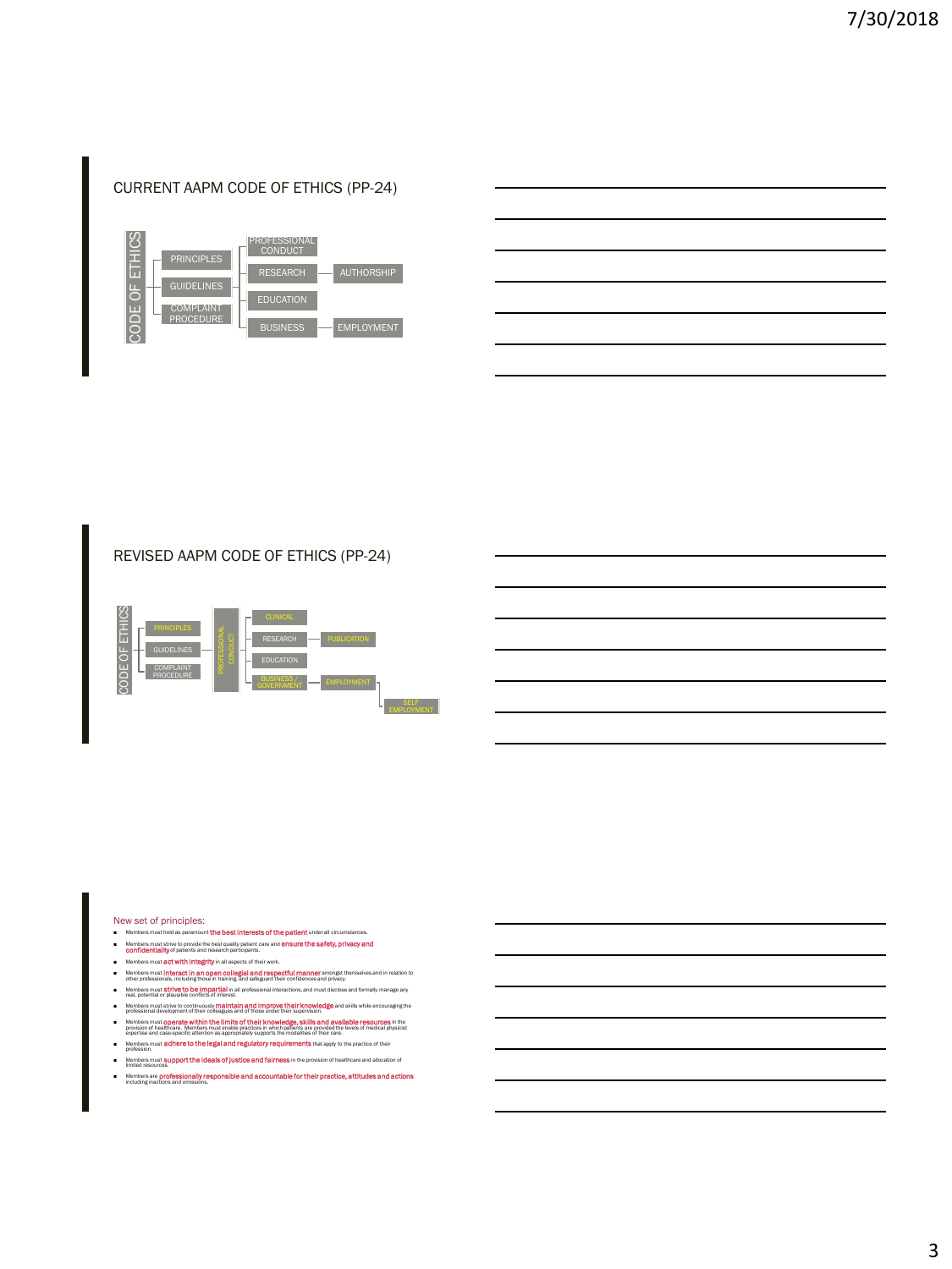- Members are **professionally responsible and accountable for their practice, attitudes and actions** including inactions and omissions.
- 
- Members must support the ideals of justice and fairness in the provision of healthcare and allocation of Me<br>limi
- profession.
- **B** that apply to the practice of their
- professional development of their colleagues and of those under their supervision.<br>Members must opperately within their limite of stripler knowledges, skills ennd available resources in the<br>expertise and case-specific atte
- Members must strive to continuously **maintain and improve their knowledge** and skills while encouraging the
- other professionals, including those in training, and safeguard their confidences and privacy. ■ Members must strive to be impartial in all professional interactions, and must disclose and formally manage any real, potential or plausible conflicts of interest.
- Members must act with integrity in all aspects of their work. ■ Members must interact in an open collegial and respectful manner amongst themselves and in relation to
- Members must strive to provide the best quality patient care and **ensure the safety, privacy and confidentiality** of patients and research participants.
- Members must hold as paramount the
- New set of principles:
- 



REVISED AAPM CODE OF ETHICS (PP-24)



# CURRENT AAPM CODE OF ETHICS (PP-24)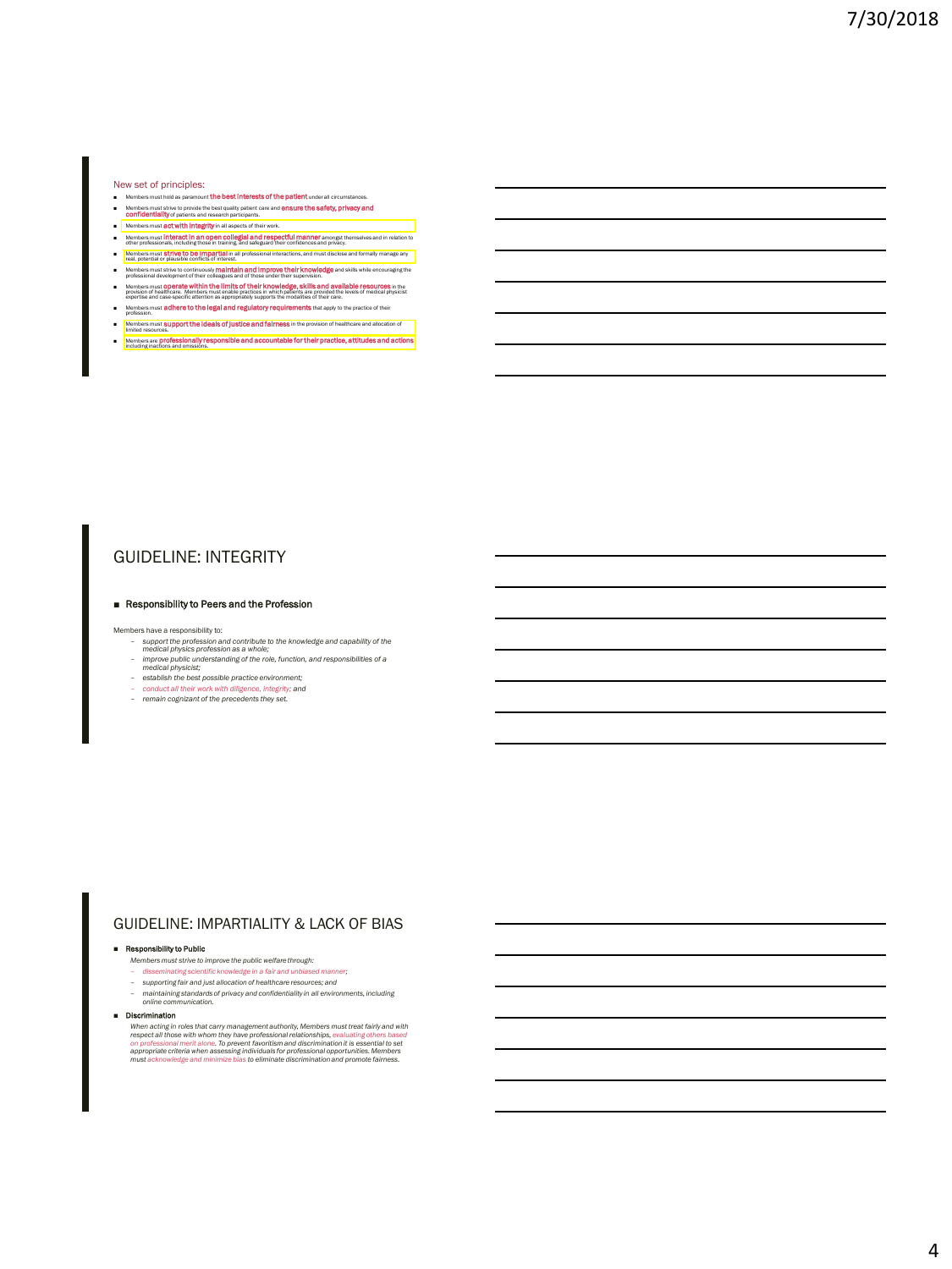#### New set of principles:

- Members must hold as paramount **the best interests of the patient** under all circumstances.<br>Members must strive to provide the best quality patient care and **ensure the safety, privacy and**<br>**Confidentiality** of patients an
- **CONTIGION INTERFERITE INTERFERITS INTERFERITS INTERFERITS INTERFERITS INTERFERITS INTERFERITS INTERFERITS INTERFERITS INTERFERITS INTERFERITS INTERFERITS INTERFERITS INTERFERITS INTERFERITS INTERFERITS INTERFERITS INTERFE**
- Members must **interact in an open collegial and respectful manner** amongst themselves and in relation to other professionals, including those in training, and safeguard their confidences and privacy.
- Members must **Strive to be impartial** in all professional interactions, and must disclose and formally manage any real, potential or plausible conflicts of interest.
- Members must strive to continuously **maintain and improve their knowledge** and skills while encouraging the professional development of their colleagues and of those under their supervision.
- 
- Members must **Operate within the limits of their knowledge, skills and available resources** in the evolution of healthcare. Members must enable that the evolution of the evolution of the evolution of the evolution of the e
- Members must **adhere to the legal and regulatory requirements** that apply to the practice of their profession.
- Members must **support the ideals of justice and fairness** in the provision of healthcare and allocation of
- Members are professionally responsible and accountable for their practice, attitudes and actions including inactions and omissions.

### GUIDELINE: INTEGRITY

#### ■ Responsibility to Peers and the Profession

Members have a responsibility to:

- *support the profession and contribute to the knowledge and capability of the medical physics profession as a whole;*
- *improve public understanding of the role, function, and responsibilities of a medical physicist;*
- *establish the best possible practice environment;*
- *conduct all their work with diligence, integrity; and remain cognizant of the precedents they set.*
- 

### GUIDELINE: IMPARTIALITY & LACK OF BIAS

#### ■ Responsibility to Public

- *Members must strive to improve the public welfare through:*
- *disseminating scientific knowledge in a fair and unbiased manner; supporting fair and just allocation of healthcare resources; and*
- 
- *maintaining standards of privacy and confidentiality in all environments, including online communication.*

#### ■ Discrimination

When acting in roles that carry management authority, Members must treat fairly and with<br>respect all those with whom they have professional relationships, evaluating chrers based<br>on professional merit alone. To prevent fav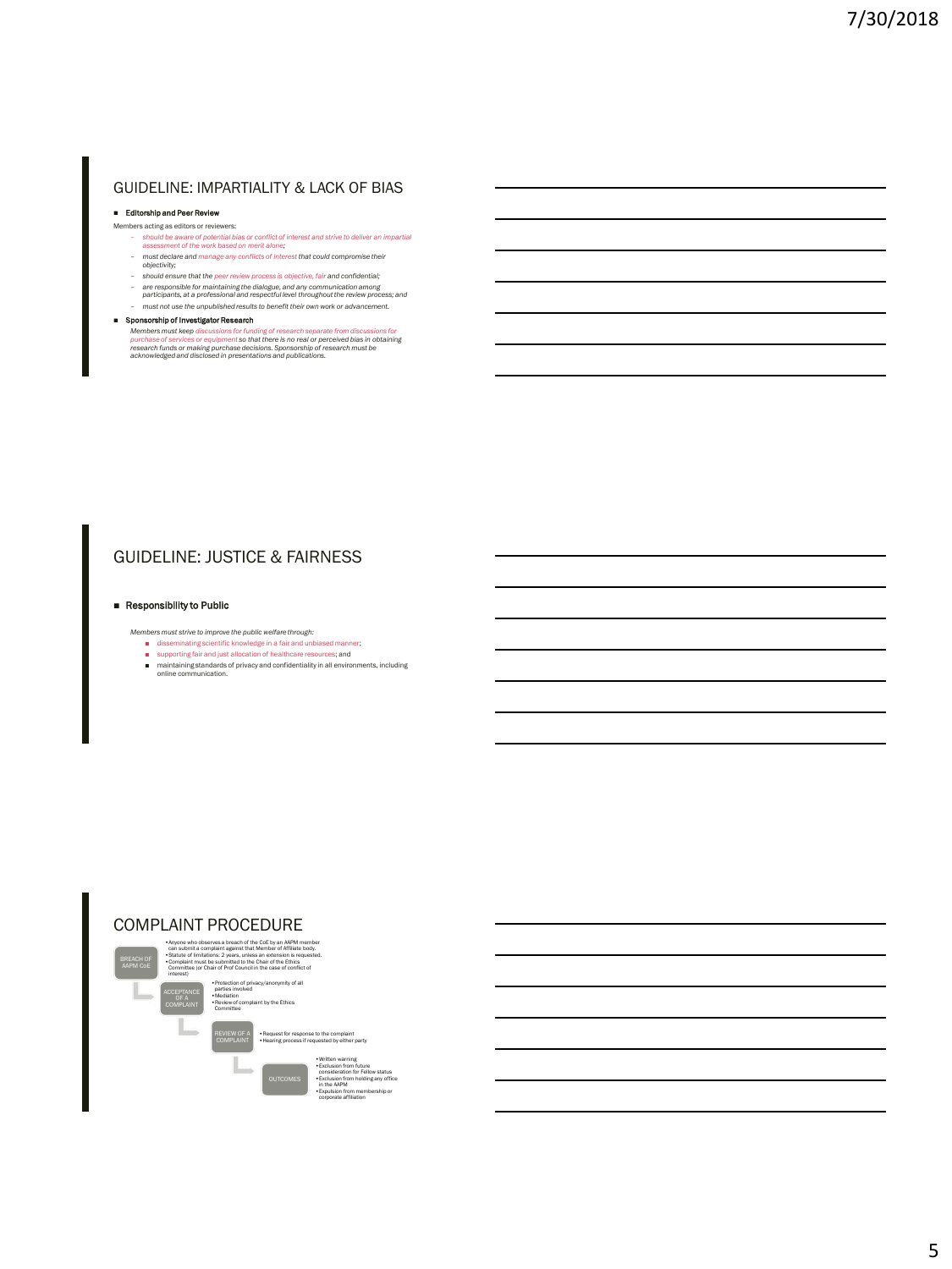### GUIDELINE: IMPARTIALITY & LACK OF BIAS

#### ■ Editorship and Peer Review

- Members acting as editors or reviewers:
	- *should be aware of potential bias or conflict of interest and strive to deliver an impartial assessment of the work based on merit alone;*
	- *must declare and manage any conflicts of interest that could compromise their objectivity;*
	- *should ensure that the peer review process is objective, fair and confidential;*
	- *are responsible for maintaining the dialogue, and any communication among participants, at a professional and respectful level throughout the review process; and*  – *must not use the unpublished results to benefit their own work or advancement.*
- 

### ■ Sponsorship of Investigator Research

Members must keep discussions for funding of research separate from discussions for<br>purchase of services or equipment so that there is no real or perceived bias in obtaining<br>research funds or making purchase decisions. Spo

## GUIDELINE: JUSTICE & FAIRNESS

### ■ Responsibility to Public

- *Members must strive to improve the public welfare through:*
	- disseminating scientific knowledge in a fair and unbiased manner;
	- supporting fair and just allocation of healthcare resources; and
	- maintaining standards of privacy and confidentiality in all environments, including online communication.

### COMPLAINT PROCEDURE



Anyone who observes a breach of the CoE by an AAPM member<br>can submit a complaint against that Member of Affiliate body.<br>Statute of limitations: 2 years, unless an extension is requested.<br>Compitint must be submitted to the ACCEPTANCE OF A COMPLAINT acy/anonymity of all parties involved •Mediation Committee

REVIEW OF A COMPLAINT

•<br>t by the Ethics

•Request for response to the complaint •Hearing process if requested by either party

•Written warning •Exclusion from future consideration for Fellow status •Exclusion from holding any office in the AAPM •Expulsion from membership or corporate affiliation